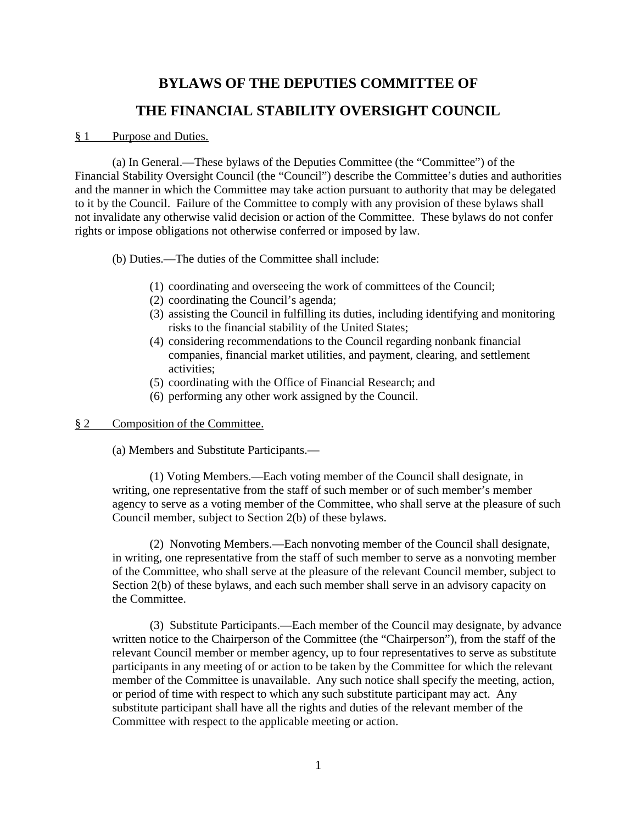# **BYLAWS OF THE DEPUTIES COMMITTEE OF THE FINANCIAL STABILITY OVERSIGHT COUNCIL**

#### § 1 Purpose and Duties.

(a) In General.—These bylaws of the Deputies Committee (the "Committee") of the Financial Stability Oversight Council (the "Council") describe the Committee's duties and authorities and the manner in which the Committee may take action pursuant to authority that may be delegated to it by the Council. Failure of the Committee to comply with any provision of these bylaws shall not invalidate any otherwise valid decision or action of the Committee. These bylaws do not confer rights or impose obligations not otherwise conferred or imposed by law.

(b) Duties.—The duties of the Committee shall include:

- (1) coordinating and overseeing the work of committees of the Council;
- (2) coordinating the Council's agenda;
- (3) assisting the Council in fulfilling its duties, including identifying and monitoring risks to the financial stability of the United States;
- (4) considering recommendations to the Council regarding nonbank financial companies, financial market utilities, and payment, clearing, and settlement activities;
- (5) coordinating with the Office of Financial Research; and
- (6) performing any other work assigned by the Council.

# § 2 Composition of the Committee.

(a) Members and Substitute Participants.—

(1) Voting Members.—Each voting member of the Council shall designate, in writing, one representative from the staff of such member or of such member's member agency to serve as a voting member of the Committee, who shall serve at the pleasure of such Council member, subject to Section 2(b) of these bylaws.

(2) Nonvoting Members.—Each nonvoting member of the Council shall designate, in writing, one representative from the staff of such member to serve as a nonvoting member of the Committee, who shall serve at the pleasure of the relevant Council member, subject to Section 2(b) of these bylaws, and each such member shall serve in an advisory capacity on the Committee.

(3) Substitute Participants.—Each member of the Council may designate, by advance written notice to the Chairperson of the Committee (the "Chairperson"), from the staff of the relevant Council member or member agency, up to four representatives to serve as substitute participants in any meeting of or action to be taken by the Committee for which the relevant member of the Committee is unavailable. Any such notice shall specify the meeting, action, or period of time with respect to which any such substitute participant may act. Any substitute participant shall have all the rights and duties of the relevant member of the Committee with respect to the applicable meeting or action.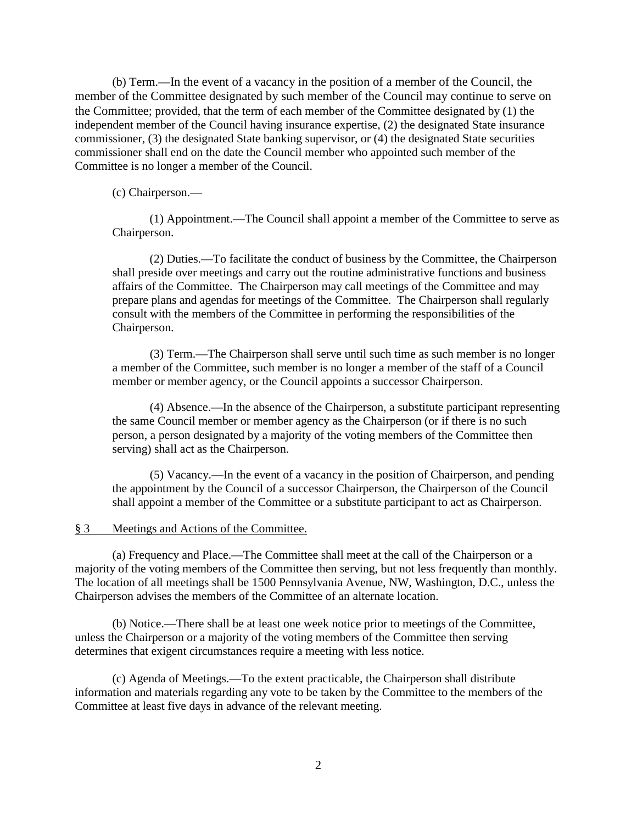(b) Term.—In the event of a vacancy in the position of a member of the Council, the member of the Committee designated by such member of the Council may continue to serve on the Committee; provided, that the term of each member of the Committee designated by (1) the independent member of the Council having insurance expertise, (2) the designated State insurance commissioner, (3) the designated State banking supervisor, or (4) the designated State securities commissioner shall end on the date the Council member who appointed such member of the Committee is no longer a member of the Council.

(c) Chairperson.—

(1) Appointment.—The Council shall appoint a member of the Committee to serve as Chairperson.

(2) Duties.—To facilitate the conduct of business by the Committee, the Chairperson shall preside over meetings and carry out the routine administrative functions and business affairs of the Committee. The Chairperson may call meetings of the Committee and may prepare plans and agendas for meetings of the Committee. The Chairperson shall regularly consult with the members of the Committee in performing the responsibilities of the Chairperson.

(3) Term.—The Chairperson shall serve until such time as such member is no longer a member of the Committee, such member is no longer a member of the staff of a Council member or member agency, or the Council appoints a successor Chairperson.

(4) Absence.—In the absence of the Chairperson, a substitute participant representing the same Council member or member agency as the Chairperson (or if there is no such person, a person designated by a majority of the voting members of the Committee then serving) shall act as the Chairperson.

(5) Vacancy.—In the event of a vacancy in the position of Chairperson, and pending the appointment by the Council of a successor Chairperson, the Chairperson of the Council shall appoint a member of the Committee or a substitute participant to act as Chairperson.

# § 3 Meetings and Actions of the Committee.

(a) Frequency and Place.—The Committee shall meet at the call of the Chairperson or a majority of the voting members of the Committee then serving, but not less frequently than monthly. The location of all meetings shall be 1500 Pennsylvania Avenue, NW, Washington, D.C., unless the Chairperson advises the members of the Committee of an alternate location.

(b) Notice.—There shall be at least one week notice prior to meetings of the Committee, unless the Chairperson or a majority of the voting members of the Committee then serving determines that exigent circumstances require a meeting with less notice.

(c) Agenda of Meetings.—To the extent practicable, the Chairperson shall distribute information and materials regarding any vote to be taken by the Committee to the members of the Committee at least five days in advance of the relevant meeting.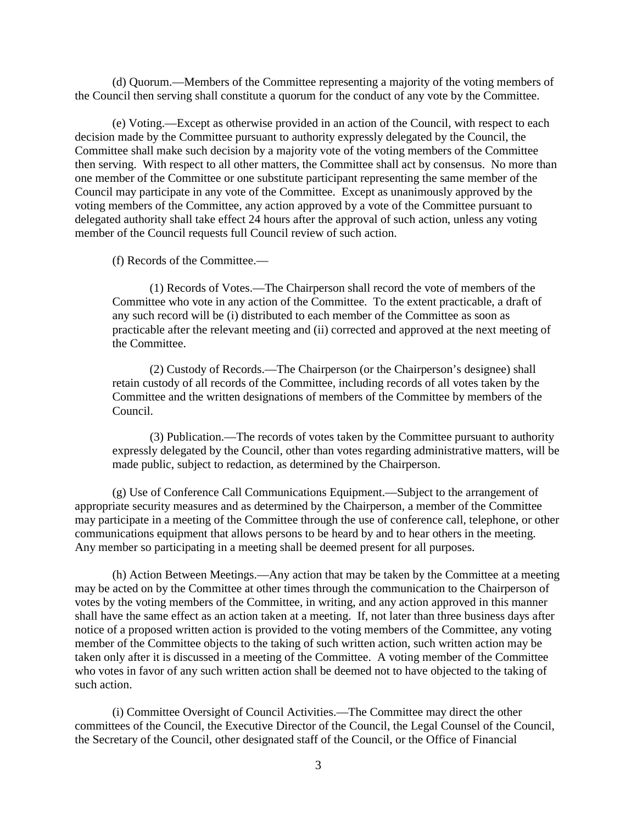(d) Quorum.—Members of the Committee representing a majority of the voting members of the Council then serving shall constitute a quorum for the conduct of any vote by the Committee.

(e) Voting.—Except as otherwise provided in an action of the Council, with respect to each decision made by the Committee pursuant to authority expressly delegated by the Council, the Committee shall make such decision by a majority vote of the voting members of the Committee then serving. With respect to all other matters, the Committee shall act by consensus. No more than one member of the Committee or one substitute participant representing the same member of the Council may participate in any vote of the Committee. Except as unanimously approved by the voting members of the Committee, any action approved by a vote of the Committee pursuant to delegated authority shall take effect 24 hours after the approval of such action, unless any voting member of the Council requests full Council review of such action.

(f) Records of the Committee.—

(1) Records of Votes.—The Chairperson shall record the vote of members of the Committee who vote in any action of the Committee. To the extent practicable, a draft of any such record will be (i) distributed to each member of the Committee as soon as practicable after the relevant meeting and (ii) corrected and approved at the next meeting of the Committee.

(2) Custody of Records.—The Chairperson (or the Chairperson's designee) shall retain custody of all records of the Committee, including records of all votes taken by the Committee and the written designations of members of the Committee by members of the Council.

(3) Publication.—The records of votes taken by the Committee pursuant to authority expressly delegated by the Council, other than votes regarding administrative matters, will be made public, subject to redaction, as determined by the Chairperson.

(g) Use of Conference Call Communications Equipment.—Subject to the arrangement of appropriate security measures and as determined by the Chairperson, a member of the Committee may participate in a meeting of the Committee through the use of conference call, telephone, or other communications equipment that allows persons to be heard by and to hear others in the meeting. Any member so participating in a meeting shall be deemed present for all purposes.

(h) Action Between Meetings.—Any action that may be taken by the Committee at a meeting may be acted on by the Committee at other times through the communication to the Chairperson of votes by the voting members of the Committee, in writing, and any action approved in this manner shall have the same effect as an action taken at a meeting. If, not later than three business days after notice of a proposed written action is provided to the voting members of the Committee, any voting member of the Committee objects to the taking of such written action, such written action may be taken only after it is discussed in a meeting of the Committee. A voting member of the Committee who votes in favor of any such written action shall be deemed not to have objected to the taking of such action.

(i) Committee Oversight of Council Activities.—The Committee may direct the other committees of the Council, the Executive Director of the Council, the Legal Counsel of the Council, the Secretary of the Council, other designated staff of the Council, or the Office of Financial